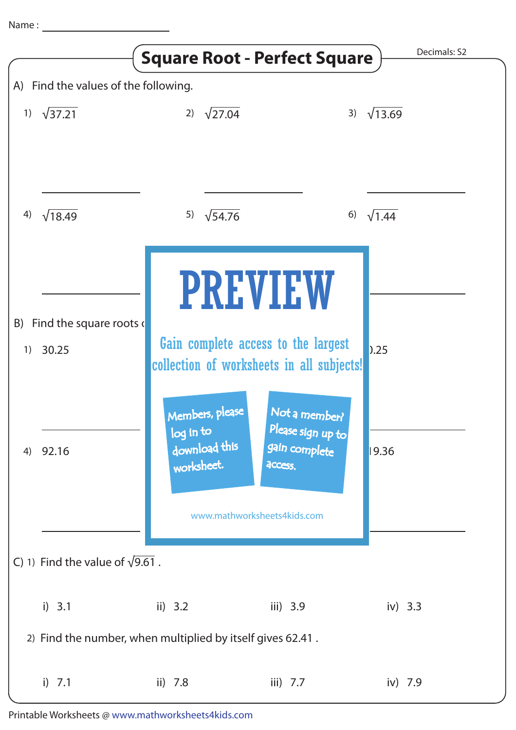|    |                                         | <b>Square Root - Perfect Square</b>                                              |                                               | Decimals: S2   |
|----|-----------------------------------------|----------------------------------------------------------------------------------|-----------------------------------------------|----------------|
|    | A) Find the values of the following.    |                                                                                  |                                               |                |
| 1) | $\sqrt{37.21}$                          | $\sqrt{27.04}$<br>2)                                                             | 3)                                            | $\sqrt{13.69}$ |
| 4) | $\sqrt{18.49}$                          | $\sqrt{54.76}$<br>5)                                                             | 6)                                            | $\sqrt{1.44}$  |
|    |                                         |                                                                                  | <b>PREVIEW</b>                                |                |
|    | B) Find the square roots $\left($       |                                                                                  |                                               |                |
| 1) | 30.25                                   | Gain complete access to the largest<br>collection of worksheets in all subjects! |                                               | 0.25           |
|    |                                         | Members, please                                                                  | Not a member?                                 |                |
| 4) | 92.16                                   | log in to<br>download this<br>worksheet.                                         | Please sign up to<br>gain complete<br>access. | 9.36           |
|    |                                         |                                                                                  | www.mathworksheets4kids.com                   |                |
|    | C) 1) Find the value of $\sqrt{9.61}$ . |                                                                                  |                                               |                |
|    | i) 3.1                                  | ii) $3.2$                                                                        | iii) 3.9                                      | iv) $3.3$      |
|    |                                         | 2) Find the number, when multiplied by itself gives 62.41.                       |                                               |                |
|    | i) $7.1$                                | ii) $7.8$                                                                        | iii) $7.7$                                    | iv) 7.9        |